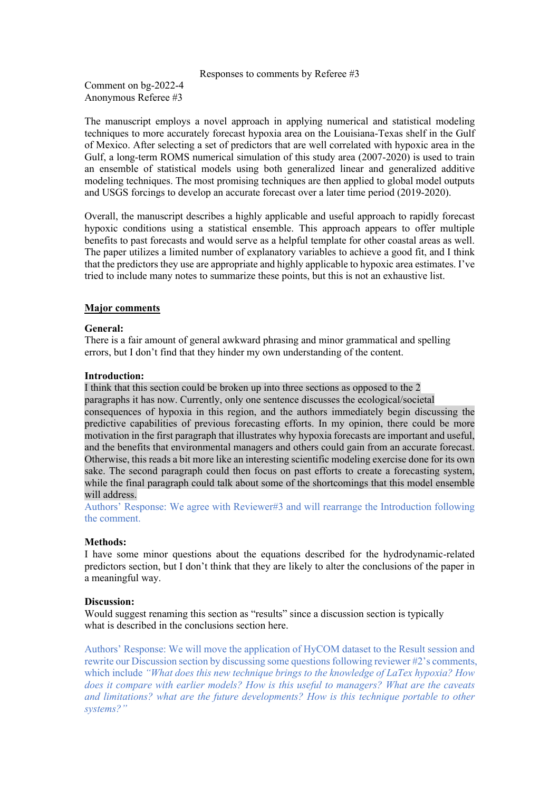#### Responses to comments by Referee #3

Comment on bg-2022-4 Anonymous Referee #3

The manuscript employs a novel approach in applying numerical and statistical modeling techniques to more accurately forecast hypoxia area on the Louisiana-Texas shelf in the Gulf of Mexico. After selecting a set of predictors that are well correlated with hypoxic area in the Gulf, a long-term ROMS numerical simulation of this study area (2007-2020) is used to train an ensemble of statistical models using both generalized linear and generalized additive modeling techniques. The most promising techniques are then applied to global model outputs and USGS forcings to develop an accurate forecast over a later time period (2019-2020).

Overall, the manuscript describes a highly applicable and useful approach to rapidly forecast hypoxic conditions using a statistical ensemble. This approach appears to offer multiple benefits to past forecasts and would serve as a helpful template for other coastal areas as well. The paper utilizes a limited number of explanatory variables to achieve a good fit, and I think that the predictors they use are appropriate and highly applicable to hypoxic area estimates. I've tried to include many notes to summarize these points, but this is not an exhaustive list.

### **Major comments**

### **General:**

There is a fair amount of general awkward phrasing and minor grammatical and spelling errors, but I don't find that they hinder my own understanding of the content.

### **Introduction:**

I think that this section could be broken up into three sections as opposed to the 2 paragraphs it has now. Currently, only one sentence discusses the ecological/societal consequences of hypoxia in this region, and the authors immediately begin discussing the predictive capabilities of previous forecasting efforts. In my opinion, there could be more motivation in the first paragraph that illustrates why hypoxia forecasts are important and useful, and the benefits that environmental managers and others could gain from an accurate forecast. Otherwise, this reads a bit more like an interesting scientific modeling exercise done for its own sake. The second paragraph could then focus on past efforts to create a forecasting system, while the final paragraph could talk about some of the shortcomings that this model ensemble will address.

Authors' Response: We agree with Reviewer#3 and will rearrange the Introduction following the comment.

### **Methods:**

I have some minor questions about the equations described for the hydrodynamic-related predictors section, but I don't think that they are likely to alter the conclusions of the paper in a meaningful way.

### **Discussion:**

Would suggest renaming this section as "results" since a discussion section is typically what is described in the conclusions section here.

Authors' Response: We will move the application of HyCOM dataset to the Result session and rewrite our Discussion section by discussing some questions following reviewer #2's comments, which include *"What does this new technique brings to the knowledge of LaTex hypoxia? How does it compare with earlier models? How is this useful to managers? What are the caveats and limitations? what are the future developments? How is this technique portable to other systems?"*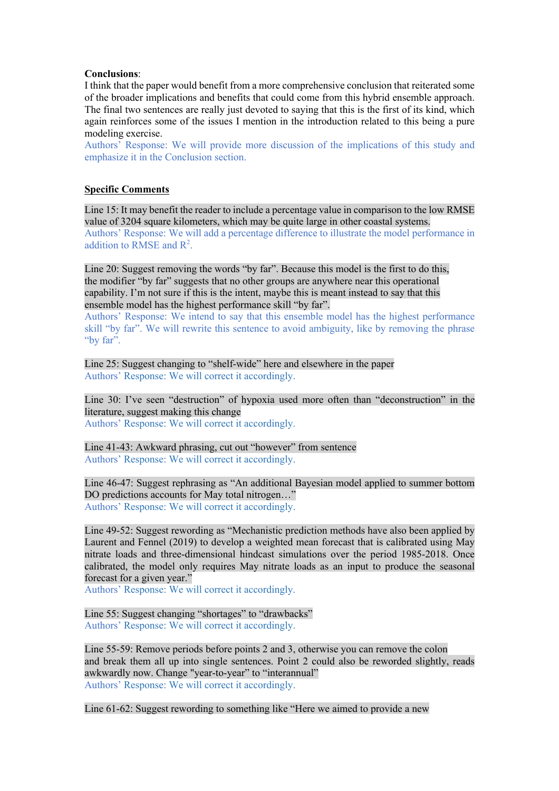### **Conclusions**:

I think that the paper would benefit from a more comprehensive conclusion that reiterated some of the broader implications and benefits that could come from this hybrid ensemble approach. The final two sentences are really just devoted to saying that this is the first of its kind, which again reinforces some of the issues I mention in the introduction related to this being a pure modeling exercise.

Authors' Response: We will provide more discussion of the implications of this study and emphasize it in the Conclusion section.

# **Specific Comments**

Line 15: It may benefit the reader to include a percentage value in comparison to the low RMSE value of 3204 square kilometers, which may be quite large in other coastal systems. Authors' Response: We will add a percentage difference to illustrate the model performance in addition to RMSE and  $R^2$ .

Line 20: Suggest removing the words "by far". Because this model is the first to do this, the modifier "by far" suggests that no other groups are anywhere near this operational capability. I'm not sure if this is the intent, maybe this is meant instead to say that this ensemble model has the highest performance skill "by far".

Authors' Response: We intend to say that this ensemble model has the highest performance skill "by far". We will rewrite this sentence to avoid ambiguity, like by removing the phrase "by far".

Line 25: Suggest changing to "shelf-wide" here and elsewhere in the paper Authors' Response: We will correct it accordingly.

Line 30: I've seen "destruction" of hypoxia used more often than "deconstruction" in the literature, suggest making this change Authors' Response: We will correct it accordingly.

Line 41-43: Awkward phrasing, cut out "however" from sentence Authors' Response: We will correct it accordingly.

Line 46-47: Suggest rephrasing as "An additional Bayesian model applied to summer bottom DO predictions accounts for May total nitrogen…" Authors' Response: We will correct it accordingly.

Line 49-52: Suggest rewording as "Mechanistic prediction methods have also been applied by Laurent and Fennel (2019) to develop a weighted mean forecast that is calibrated using May nitrate loads and three-dimensional hindcast simulations over the period 1985-2018. Once calibrated, the model only requires May nitrate loads as an input to produce the seasonal forecast for a given year."

Authors' Response: We will correct it accordingly.

Line 55: Suggest changing "shortages" to "drawbacks" Authors' Response: We will correct it accordingly.

Line 55-59: Remove periods before points 2 and 3, otherwise you can remove the colon and break them all up into single sentences. Point 2 could also be reworded slightly, reads awkwardly now. Change "year-to-year" to "interannual" Authors' Response: We will correct it accordingly.

Line 61-62: Suggest rewording to something like "Here we aimed to provide a new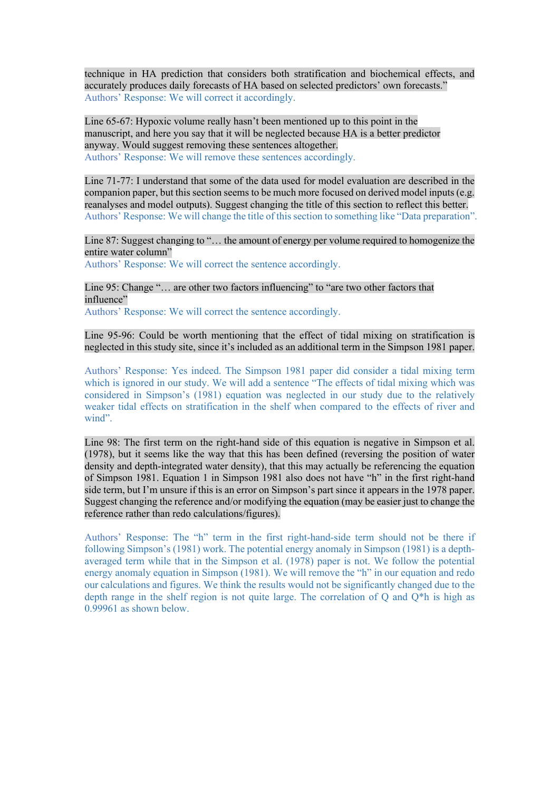technique in HA prediction that considers both stratification and biochemical effects, and accurately produces daily forecasts of HA based on selected predictors' own forecasts." Authors' Response: We will correct it accordingly.

Line 65-67: Hypoxic volume really hasn't been mentioned up to this point in the manuscript, and here you say that it will be neglected because HA is a better predictor anyway. Would suggest removing these sentences altogether. Authors' Response: We will remove these sentences accordingly.

Line 71-77: I understand that some of the data used for model evaluation are described in the companion paper, but this section seems to be much more focused on derived model inputs (e.g. reanalyses and model outputs). Suggest changing the title of this section to reflect this better. Authors' Response: We will change the title of this section to something like "Data preparation".

Line 87: Suggest changing to "… the amount of energy per volume required to homogenize the entire water column"

Authors' Response: We will correct the sentence accordingly.

Line 95: Change "… are other two factors influencing" to "are two other factors that influence"

Authors' Response: We will correct the sentence accordingly.

Line 95-96: Could be worth mentioning that the effect of tidal mixing on stratification is neglected in this study site, since it's included as an additional term in the Simpson 1981 paper.

Authors' Response: Yes indeed. The Simpson 1981 paper did consider a tidal mixing term which is ignored in our study. We will add a sentence "The effects of tidal mixing which was considered in Simpson's (1981) equation was neglected in our study due to the relatively weaker tidal effects on stratification in the shelf when compared to the effects of river and wind".

Line 98: The first term on the right-hand side of this equation is negative in Simpson et al. (1978), but it seems like the way that this has been defined (reversing the position of water density and depth-integrated water density), that this may actually be referencing the equation of Simpson 1981. Equation 1 in Simpson 1981 also does not have "h" in the first right-hand side term, but I'm unsure if this is an error on Simpson's part since it appears in the 1978 paper. Suggest changing the reference and/or modifying the equation (may be easier just to change the reference rather than redo calculations/figures).

Authors' Response: The "h" term in the first right-hand-side term should not be there if following Simpson's (1981) work. The potential energy anomaly in Simpson (1981) is a depthaveraged term while that in the Simpson et al. (1978) paper is not. We follow the potential energy anomaly equation in Simpson (1981). We will remove the "h" in our equation and redo our calculations and figures. We think the results would not be significantly changed due to the depth range in the shelf region is not quite large. The correlation of Q and Q\*h is high as 0.99961 as shown below.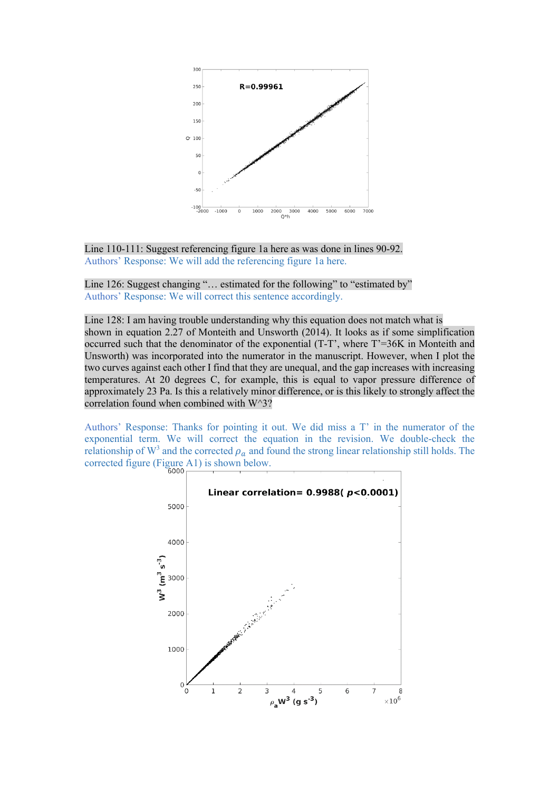

Line 110-111: Suggest referencing figure 1a here as was done in lines 90-92. Authors' Response: We will add the referencing figure 1a here.

Line 126: Suggest changing "... estimated for the following" to "estimated by" Authors' Response: We will correct this sentence accordingly.

Line 128: I am having trouble understanding why this equation does not match what is shown in equation 2.27 of Monteith and Unsworth (2014). It looks as if some simplification occurred such that the denominator of the exponential (T-T', where T'=36K in Monteith and Unsworth) was incorporated into the numerator in the manuscript. However, when I plot the two curves against each other I find that they are unequal, and the gap increases with increasing temperatures. At 20 degrees C, for example, this is equal to vapor pressure difference of approximately 23 Pa. Is this a relatively minor difference, or is this likely to strongly affect the correlation found when combined with W^3?

Authors' Response: Thanks for pointing it out. We did miss a T' in the numerator of the exponential term. We will correct the equation in the revision. We double-check the relationship of  $W^3$  and the corrected  $\rho_a$  and found the strong linear relationship still holds. The corrected figure (Figure A1) is shown below.

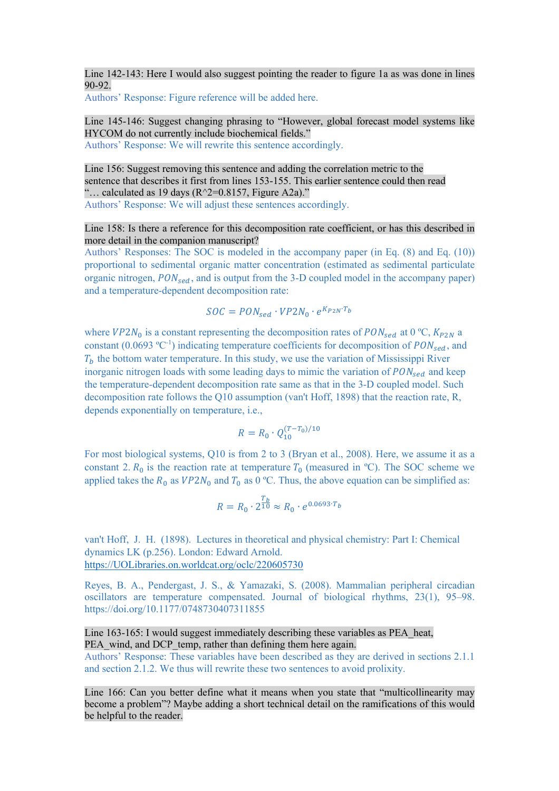Line 142-143: Here I would also suggest pointing the reader to figure 1a as was done in lines 90-92.

Authors' Response: Figure reference will be added here.

### Line 145-146: Suggest changing phrasing to "However, global forecast model systems like HYCOM do not currently include biochemical fields." Authors' Response: We will rewrite this sentence accordingly.

Line 156: Suggest removing this sentence and adding the correlation metric to the sentence that describes it first from lines 153-155. This earlier sentence could then read "... calculated as 19 days ( $R^2=0.8157$ , Figure A2a)." Authors' Response: We will adjust these sentences accordingly.

Line 158: Is there a reference for this decomposition rate coefficient, or has this described in more detail in the companion manuscript?

Authors' Responses: The SOC is modeled in the accompany paper (in Eq. (8) and Eq. (10)) proportional to sedimental organic matter concentration (estimated as sedimental particulate organic nitrogen,  $PON_{sed}$ , and is output from the 3-D coupled model in the accompany paper) and a temperature-dependent decomposition rate:

$$
SOC = PON_{sed} \cdot VP2N_0 \cdot e^{K_{P2N} \cdot T_b}
$$

where  $VP2N_0$  is a constant representing the decomposition rates of  $PON_{sed}$  at 0 °C,  $K_{P2N}$  a constant (0.0693 °C<sup>-1</sup>) indicating temperature coefficients for decomposition of  $PON_{\text{sed}}$ , and  $T_b$  the bottom water temperature. In this study, we use the variation of Mississippi River inorganic nitrogen loads with some leading days to mimic the variation of  $PON_{sed}$  and keep the temperature-dependent decomposition rate same as that in the 3-D coupled model. Such decomposition rate follows the Q10 assumption (van't Hoff, 1898) that the reaction rate, R, depends exponentially on temperature, i.e.,

$$
R = R_0 \cdot Q_{10}^{(T-T_0)/10}
$$

For most biological systems, Q10 is from 2 to 3 (Bryan et al., 2008). Here, we assume it as a constant 2.  $R_0$  is the reaction rate at temperature  $T_0$  (measured in °C). The SOC scheme we applied takes the  $R_0$  as  $VP2N_0$  and  $T_0$  as 0 °C. Thus, the above equation can be simplified as:

$$
R = R_0 \cdot 2^{\frac{T_b}{10}} \approx R_0 \cdot e^{0.0693 \cdot T_b}
$$

van't Hoff, J. H. (1898). Lectures in theoretical and physical chemistry: Part I: Chemical dynamics LK (p.256). London: Edward Arnold. https://UOLibraries.on.worldcat.org/oclc/220605730

Reyes, B. A., Pendergast, J. S., & Yamazaki, S. (2008). Mammalian peripheral circadian oscillators are temperature compensated. Journal of biological rhythms, 23(1), 95–98. https://doi.org/10.1177/0748730407311855

Line 163-165: I would suggest immediately describing these variables as PEA heat, PEA\_wind, and DCP\_temp, rather than defining them here again.

Authors' Response: These variables have been described as they are derived in sections 2.1.1 and section 2.1.2. We thus will rewrite these two sentences to avoid prolixity.

Line 166: Can you better define what it means when you state that "multicollinearity may become a problem"? Maybe adding a short technical detail on the ramifications of this would be helpful to the reader.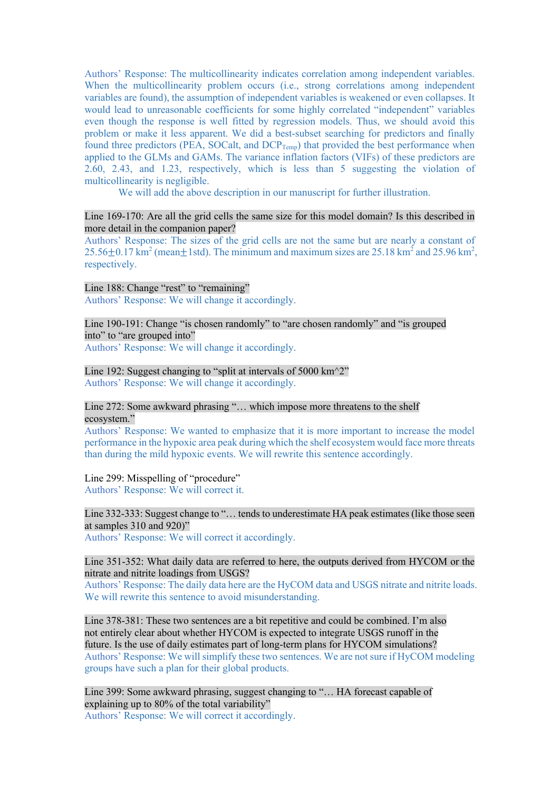Authors' Response: The multicollinearity indicates correlation among independent variables. When the multicollinearity problem occurs (i.e., strong correlations among independent variables are found), the assumption of independent variables is weakened or even collapses. It would lead to unreasonable coefficients for some highly correlated "independent" variables even though the response is well fitted by regression models. Thus, we should avoid this problem or make it less apparent. We did a best-subset searching for predictors and finally found three predictors (PEA, SOCalt, and DCP<sub>Temp</sub>) that provided the best performance when applied to the GLMs and GAMs. The variance inflation factors (VIFs) of these predictors are 2.60, 2.43, and 1.23, respectively, which is less than 5 suggesting the violation of multicollinearity is negligible.

We will add the above description in our manuscript for further illustration.

# Line 169-170: Are all the grid cells the same size for this model domain? Is this described in more detail in the companion paper?

Authors' Response: The sizes of the grid cells are not the same but are nearly a constant of 25.56 $\pm$ 0.17 km<sup>2</sup> (mean $\pm$ 1std). The minimum and maximum sizes are 25.18 km<sup>2</sup> and 25.96 km<sup>2</sup>, respectively.

Line 188: Change "rest" to "remaining" Authors' Response: We will change it accordingly.

Line 190-191: Change "is chosen randomly" to "are chosen randomly" and "is grouped into" to "are grouped into"

Authors' Response: We will change it accordingly.

Line 192: Suggest changing to "split at intervals of  $5000 \text{ km}^2$ " Authors' Response: We will change it accordingly.

# Line 272: Some awkward phrasing "... which impose more threatens to the shelf ecosystem."

Authors' Response: We wanted to emphasize that it is more important to increase the model performance in the hypoxic area peak during which the shelf ecosystem would face more threats than during the mild hypoxic events. We will rewrite this sentence accordingly.

Line 299: Misspelling of "procedure" Authors' Response: We will correct it.

# Line 332-333: Suggest change to "… tends to underestimate HA peak estimates (like those seen at samples 310 and 920)"

Authors' Response: We will correct it accordingly.

## Line 351-352: What daily data are referred to here, the outputs derived from HYCOM or the nitrate and nitrite loadings from USGS?

Authors' Response: The daily data here are the HyCOM data and USGS nitrate and nitrite loads. We will rewrite this sentence to avoid misunderstanding.

Line 378-381: These two sentences are a bit repetitive and could be combined. I'm also not entirely clear about whether HYCOM is expected to integrate USGS runoff in the future. Is the use of daily estimates part of long-term plans for HYCOM simulations? Authors' Response: We will simplify these two sentences. We are not sure if HyCOM modeling groups have such a plan for their global products.

Line 399: Some awkward phrasing, suggest changing to "… HA forecast capable of explaining up to 80% of the total variability" Authors' Response: We will correct it accordingly.